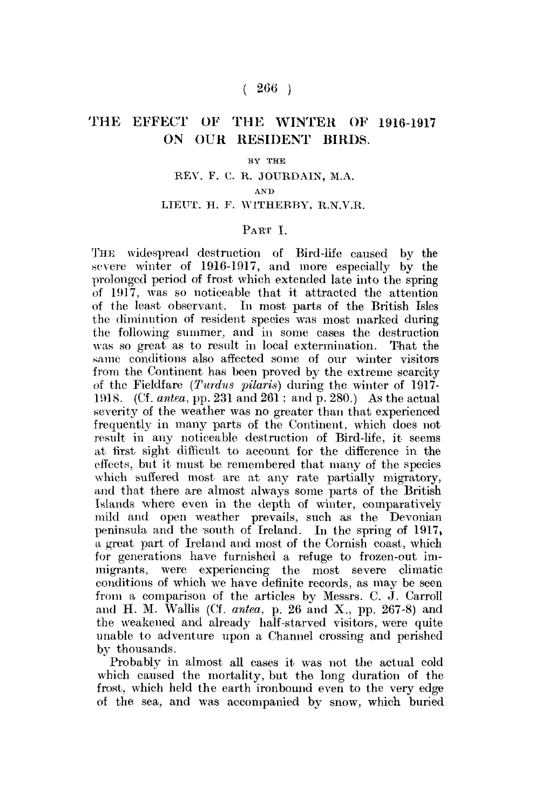## $(266)$

# THE EFFECT OF THE WINTER OF 1916-1917 **ON OUR RESIDENT BIRDS.**

#### BY THE

### REV. F. C. R. JOURDAIN, M.A.

#### *AND*

## LIEUT. H. F. W1THERBY, R.N.V.R.

### PART I

THE widespread destruction of Bird-life caused by the severe winter of 1916-1917, and more especially by the prolonged period of frost which extended late into the spring of 1917, was so noticeable that it attracted the attention of the least observant. In most parts of the British Isles the diminution of resident species was most marked during the following summer, and in some cases the destruction was so great as to result in local extermination. That the same conditions also affected some of our winter visitors from the Continent has been proved by the extreme scarcity of the Fieldfare *(Turdua pilaris)* during the winter of 1917- 1918. (Cf. *antea,* pp. 231 and 261: and p. 280.) As the actual severity of the weather was no greater than that experienced frequently in many parts of the Continent, which does not result in any noticeable destruction of Bird-life, it seems at first sight difficult to account for the difference in the effects, but it must be remembered that many of the species which suffered most are at any rate partially migratory, and that there are almost always some parts of the British Islands where even in the depth of winter, comparatively mild and open weather prevails, such as the Devonian peninsula and the south of Ireland. In the spring of 1917, a great part of Ireland and most of the Cornish coast, which for generations have furnished a refuge to frozen-out immigrants, were experiencing the most severe climatic conditions of which we have definite records, as may be seen from a comparison of the articles by Messrs. C. J. Carroll and H. M. Wallis (Cf. *antea,* p. 26 and X., pp. 267-8) and the weakened and already half-starved visitors, were quite unable to adventure upon a Channel crossing and perished by thousands.

Probably in almost all cases it was not the actual cold which caused the mortality, but the long duration of the frost, which held the earth ironbound even to the very edge of the sea, and was accompanied by snow, which buried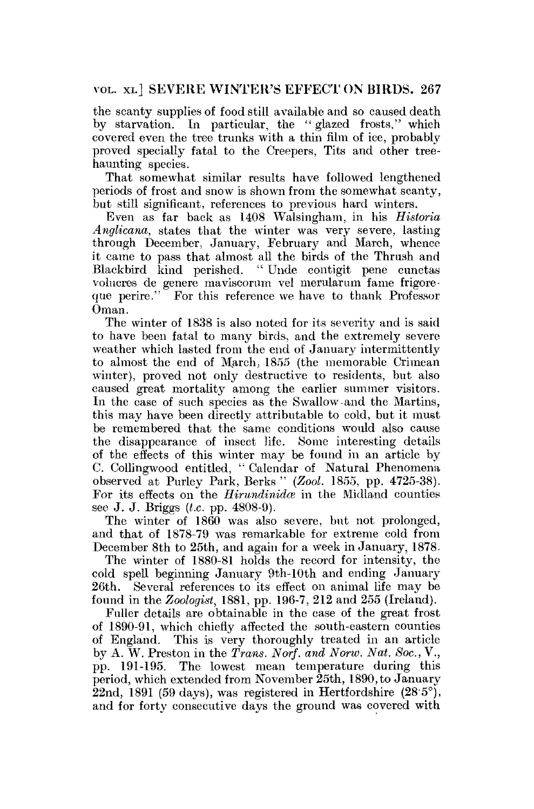## VOL. xi.] SEVERE WINTER'S EFFECT ON BIRDS. 267

the scanty supplies of food still available and so caused death by starvation. In particular, the " glazed frosts." which covered even the tree trunks with a thin film of ice, probably proved specially fatal to the Creepers, Tits and other treehaunting species.

That somewhat similar results have followed lengthened periods of frost and snow is shown from the somewhat scanty, but still significant, references to previous hard winters.

Even as far back as 1408 Walsingham, in his *Historia Anglicana,* states that the winter was very severe, lasting through December, January, February and March, whence it came to pass that almost all the birds of the Thrush and Blackbird kind perished. " Unde contigit pene cunctas volucres de genere maviscorum vel merularum fame frigoreque perire." For this reference we have to thank Professor Oman.

The winter of 1838 is also noted for its severity and is said to have been fatal to many birds, and the extremely severe weather which lasted from the end of January intermittently to almost the end of March, 1855 (the memorable Crimean winter), proved not only destructive to residents, but also caused great mortality among the earlier summer visitors. In the case of such species as the Swallow and the Martins, this may have been directly attributable to cold, but it must be remembered that the same conditions would also cause the disappearance of insect life. Some interesting details of the effects of this winter may be found in an article by C. Collingwood entitled, " Calendar of Natural Phenomena observed at Purley Park, Berks " *(Zool.* 1855, pp. 4725-38). For its effects on the *Hirundinidce* in the Midland counties see J. J. Briggs *(t.c.* pp. 4808-9).

The winter of 1860 was also severe, but not prolonged, and that of 1878-79 was remarkable for extreme cold from December 8th to 25th, and again for a week in January, 1878.

The winter of 1880-81 holds the record for intensity, the cold spell beginning January 9th-10th and ending January 26th. Several references to its effect on animal life may be found in the *Zoologist,* 1881, pp. 196-7, 212 and 255 (Ireland).

Fuller details are obtainable in the case of the great frost of 1890-91, which chiefly affected the south-eastern counties of England. This is very thoroughly treated in an article by A. W. Preston in the *Trans. Norf. and Norw. Nat. Soc,* V., pp. 191-195. The lowest mean temperature during this period, which extended from November 25th, 1890, to January  $\overline{2}2$ nd, 1891 (59 days), was registered in Hertfordshire (28.5°), and for forty consecutive days the ground was covered with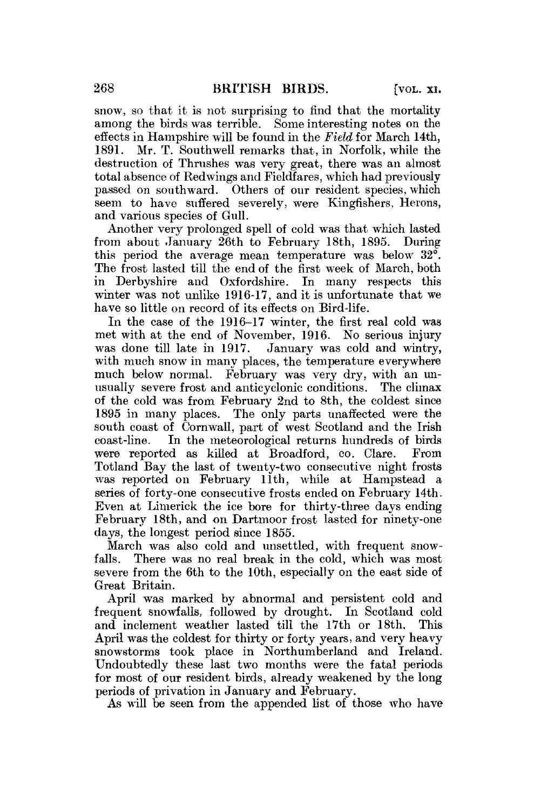snow, so that it is not surprising to find that the mortality among the birds was terrible. Some interesting notes on the effects in Hampshire will be found in the *Field* for March 14th, 1891. Mr. T. Southwell remarks, that, in Norfolk, while the Mr. T. Southwell remarks that, in Norfolk, while the destruction of Thrushes was very great, there was an almost total absence of Redwings and Fieldfares, which had previously passed on southward. Others of our resident species, which seem to have suffered severely, were Kingfishers, Herons, and various species of Gull.

Another very prolonged spell of cold was that which lasted from about January 26th to February 18th, 1895. During this period the average mean temperature was below 32°. The frost lasted till the end of the first week of March, both in Derbyshire and Oxfordshire. In many respects this winter was not unlike 1916-17, and it is unfortunate that we have so little on record of its effects on Bird-life.

In the case of the 1916-17 winter, the first real cold was met with at the end of November, 1916. No serious injury<br>was done till late in 1917. January was cold and wintry. January was cold and wintry, with much snow in many places, the temperature everywhere much below normal. February was very dry, with an unusually severe frost and anticyclonic conditions. The climax of the cold was from February 2nd to 8th, the coldest since 1895 in many places. The only parts unaffected were the south coast of Cornwall, part of west Scotland and the Irish coast-line. In the meteorological returns hundreds of birds were reported as killed at Broadford, co. Clare. From Totland Bay the last of twenty-two consecutive night frosts was reported on February 11th, while at Hampstead a series of forty-one consecutive frosts ended on February 14th. Even at Limerick the ice bore for thirty-three days ending February 18th, and on Dartmoor frost lasted for ninety-one days, the longest period since 1855.

March was also cold and unsettled, with frequent snowfalls. There was no real break in the cold, which was most severe from the 6th to the 10th, especially on the east side of Great Britain.

April was marked by abnormal and persistent cold and frequent snowfalls, followed by drought. In Scotland cold and inclement weather lasted till the 17th or 18th. April was the coldest for thirty or forty years, and very heavy snowstorms took place in Northumberland and Ireland. Undoubtedly these last two months were the fatal periods for most of our resident birds, already weakened by the long periods of privation in January and February.

As will be seen from the appended list of those who have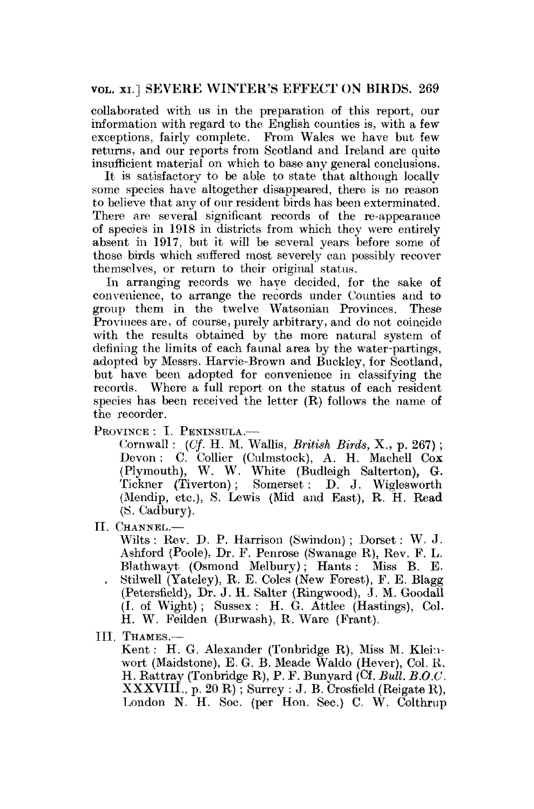## VOL. xi.] SEVERE WINTER'S EFFECT ON BIRDS. 269

collaborated with us in the preparation of this report, our information with regard to the English counties is, with a few exceptions, fairly complete. From Wales we have but few returns, and our reports from Scotland and Ireland are quite insufficient material on which to base any general conclusions.

It is satisfactory to be able to state that although locally some species have altogether disappeared, there is no reason to believe that any of our resident birds has been exterminated. There are several significant records of the re-appearance of species in 1918 in districts from which they were entirely absent in 1917, but it will be several years before some of those birds which suffered most severely can possibly recover themselves, or return to their original status.

In arranging records we have decided, for the sake of convenience, to arrange the records under Counties and to group them in the twelve Watsonian Provinces, These Provinces are, of course, purely arbitrary, and do not coincide with the results obtained by the more natural system of defining the limits of each faunal area by the water-partings, adopted by Messrs. Harvie-Brown and Buckley, for Scotland, but have been adopted for convenience in classifying the records. Where a full report on the status of each resident species has been received the letter (R) follows the name of the recorder.

PROVINCE : I. PENINSULA.-

Cornwall : (Of- H. M. Wallis, *British Birds,* X., p. 267); Devon: C. Collier (Culmstock), A. H. Machell Cox (Plymouth), W. W. White (Budleigh Salterton), G. Tickner (Tiverton); Somerset: D. J. Wiglesworth (Mendip, etc.), S. Lewis (Mid and East), R. H. Read (S. Cadbury).

II. CHANNEL.—

Wilts : Rev. D. P. Harrison (Swindon) ; Dorset: W. J. Ashford (Poole), Dr. F. Penrose (Swanage R), Rev. F. L. Blathwayt (Osmond Melbury); Hants: Miss B. E. . Stilwell (Yateley), R. E. Coles (New Forest), F. E. Blagg (Petersfield), Dr. J. H. Salter (Ringwood), J. M. Goodall (I. of Wight); Sussex: H. G. Attlee (Hastings), Col. H. W. Feilden (Burwash), R. Ware (Frant).

III. THAMES.—

Kent: H. G. Alexander (Tonbridge R), Miss M. Kleinwort (Maidstone), E. G. B. Meade Waldo (Hever), Col. R. H. Rattray (Tonbridge R), P. F. Bunyard (Cf. *Bull. B.O.O.*  XXXVIH., p. 20 R); Surrey : J. B. Crosfield (Reigate R), London N. H. Soc. (per Hon. Sec.) C. W. Colthrup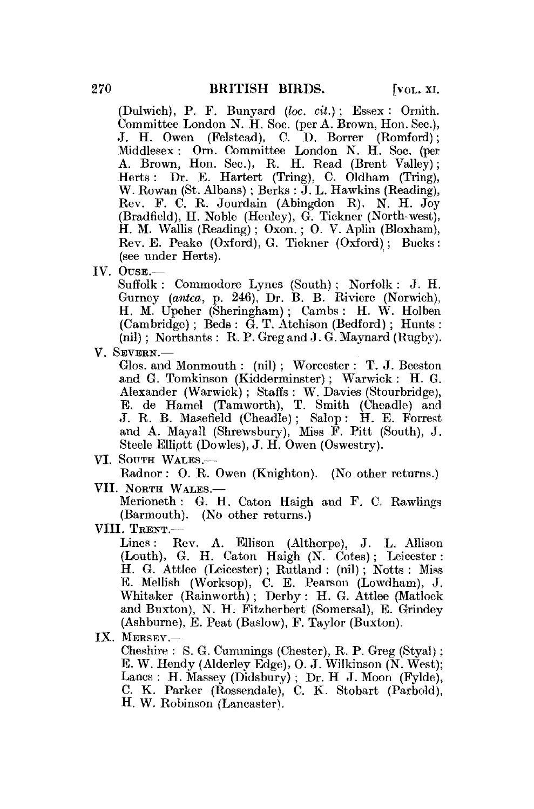(Dulwich), P. F. Bunyard *(loc. cit.)* ; Essex : Ornith. Committee London N. H. Soe. (per A. Brown, Hon. Sec), J. H. Owen (Felstead), C. D. Borrer (Romford); Middlesex: Orn. Committee London N. H. Soe. (per A. Brown, Hon. Sec.), R. H. Read (Brent Valley); Herts : Dr. E. Hartert (Tring), C. Oldham (Tring), W. Rowan (St. Albans); Berks : J. L. Hawkins (Reading), Rev. F. C. R. Jourdain (Abingdon R), N. H. Joy (Bradfield), H. Noble (Henley), G. Tickner (North-west), H. M. Wallis (Reading); Oxon.; O. V. Aplin (Bloxham), Rev. E. Peake (Oxford), G. Tickner (Oxford); Bucks: (see under Herts).

IV. OUSE.—

Suffolk : Commodore Lynes (South) ; Norfolk : J. H. Gurney *(antea,* p. 246), Dr. B. B. Riviere (Norwich), H. M. Upcher (Sheringham); Cambs : H. W. Holben  $(Cambridge)$ ; Beds:  $\tilde{G}$ . T. Atchison (Bedford); Hunts: (nil) ; Northants : R. P. Greg and J. G. Maynard (Rugby).

V. SEVERN.—

Glos. and Monmouth : (nil) ; Worcester : T. J. Beeston and G. Tomkinson  $(Kidderminsert)$ : Warwick: H. G. Alexander (Warwick) ; Staffs : W. Davies (Stourbridge), E. de Hamel (Tamworth), T. Smith (Cheadle) and J. R. B. Masefield (Cheadle) ; Salop : H. E. Forrest and A. Mayall (Shrewsbury), Miss F. Pitt (South), J. Steele Elliptt (Dowles), J. H. Owen (Oswestry).

VI. SOUTH WALES.—

Radnor : O. R. Owen (Knighton). (No other returns.) VII. NORTH WALES.—

Merioneth : G. H. Caton Haigh and F. C. Rawlings (Barmouth). (No other returns.)

VIII. TRENT.-<br>Lines : 1

Lines: Rev. A. Ellison (Althorpe), J. L. Allison (Louth), G. H. Caton Haigh (N. Cotes); Leicester: H. G. Attlee (Leicester) ; Rutland : (nil) ; Notts : Miss E. Mellish (Worksop), C. E. Pearson (Lowdham), J. Whitaker (Rainworth); Derby : H. G. Attlee (Matlock and Buxton), N. H. Fitzherbert (Somersal), E. Grindey (Ashburne), E. Peat (Baslow), F. Taylor (Buxton).

IX. MERSEY.—

Cheshire : S. G. Cummings (Chester), R. P. Greg (Styal); E. W. Hendy (Alderley Edge), 0. J. Wilkinson (N. West); Lanes : H. Massey (Didsbury) ; Dr. H J. Moon (Fylde), C. K, Parker (Rossendalej, C. K. Stobart (Parbold), H. W. Robinson (Lancaster).